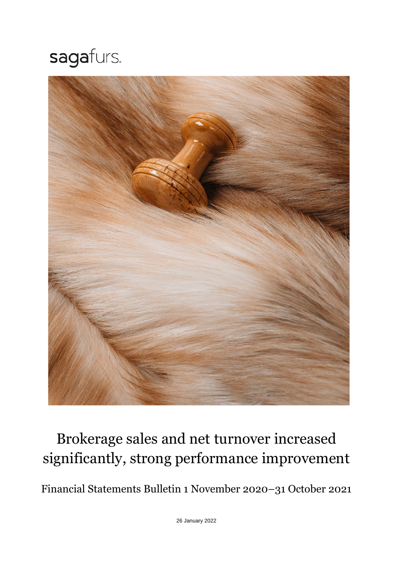# sagafurs.



## Brokerage sales and net turnover increased significantly, strong performance improvement

Financial Statements Bulletin 1 November 2020–31 October 2021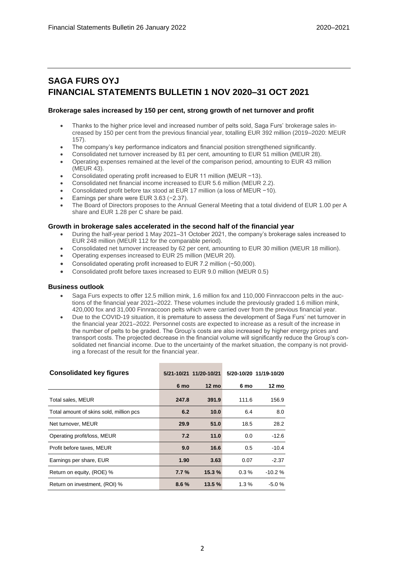## **SAGA FURS OYJ FINANCIAL STATEMENTS BULLETIN 1 NOV 2020–31 OCT 2021**

#### **Brokerage sales increased by 150 per cent, strong growth of net turnover and profit**

- Thanks to the higher price level and increased number of pelts sold, Saga Furs' brokerage sales increased by 150 per cent from the previous financial year, totalling EUR 392 million (2019–2020: MEUR 157).
- The company's key performance indicators and financial position strengthened significantly.
- Consolidated net turnover increased by 81 per cent, amounting to EUR 51 million (MEUR 28).
- Operating expenses remained at the level of the comparison period, amounting to EUR 43 million (MEUR 43).
- Consolidated operating profit increased to EUR 11 million (MEUR −13).
- Consolidated net financial income increased to EUR 5.6 million (MEUR 2.2).
- Consolidated profit before tax stood at EUR 17 million (a loss of MEUR −10).
- Earnings per share were EUR 3.63 (−2.37).
- The Board of Directors proposes to the Annual General Meeting that a total dividend of EUR 1.00 per A share and EUR 1.28 per C share be paid.

#### **Growth in brokerage sales accelerated in the second half of the financial year**

- During the half-year period 1 May 2021–31 October 2021, the company's brokerage sales increased to EUR 248 million (MEUR 112 for the comparable period).
- Consolidated net turnover increased by 62 per cent, amounting to EUR 30 million (MEUR 18 million).
- Operating expenses increased to EUR 25 million (MEUR 20).
- Consolidated operating profit increased to EUR 7.2 million (−50,000).
- Consolidated profit before taxes increased to EUR 9.0 million (MEUR 0.5)

#### **Business outlook**

- Saga Furs expects to offer 12.5 million mink, 1.6 million fox and 110,000 Finnraccoon pelts in the auctions of the financial year 2021–2022. These volumes include the previously graded 1.6 million mink, 420,000 fox and 31,000 Finnraccoon pelts which were carried over from the previous financial year.
- Due to the COVID-19 situation, it is premature to assess the development of Saga Furs' net turnover in the financial year 2021–2022. Personnel costs are expected to increase as a result of the increase in the number of pelts to be graded. The Group's costs are also increased by higher energy prices and transport costs. The projected decrease in the financial volume will significantly reduce the Group's consolidated net financial income. Due to the uncertainty of the market situation, the company is not providing a forecast of the result for the financial year.

| <b>Consolidated key figures</b>         |         | 5/21-10/21 11/20-10/21 |         | 5/20-10/20 11/19-10/20 |
|-----------------------------------------|---------|------------------------|---------|------------------------|
|                                         | 6 mo    | $12 \text{ mo}$        | 6 mo    | 12 mo                  |
| Total sales, MEUR                       | 247.8   | 391.9                  | 111.6   | 156.9                  |
| Total amount of skins sold, million pcs | 6.2     | 10.0                   | 6.4     | 8.0                    |
| Net turnover, MEUR                      | 29.9    | 51.0                   | 18.5    | 28.2                   |
| Operating profit/loss, MEUR             | 7.2     | 11.0                   | 0.0     | $-12.6$                |
| Profit before taxes, MEUR               | 9.0     | 16.6                   | 0.5     | $-10.4$                |
| Earnings per share, EUR                 | 1.90    | 3.63                   | 0.07    | $-2.37$                |
| Return on equity, (ROE) %               | $7.7\%$ | 15.3%                  | $0.3\%$ | $-10.2%$               |
| Return on investment, (ROI) %           | 8.6%    | 13.5%                  | 1.3%    | $-5.0%$                |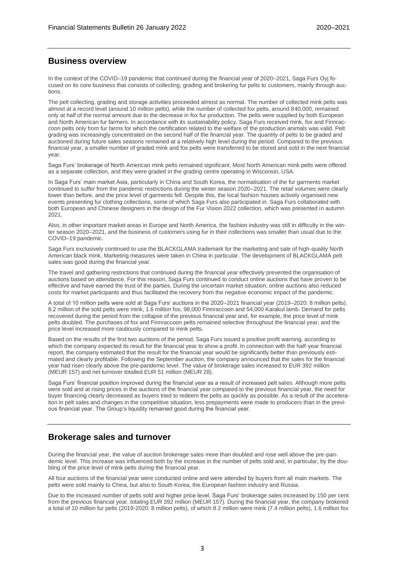## **Business overview**

In the context of the COVID–19 pandemic that continued during the financial year of 2020–2021, Saga Furs Oyj focused on its core business that consists of collecting, grading and brokering fur pelts to customers, mainly through auctions.

The pelt collecting, grading and storage activities proceeded almost as normal. The number of collected mink pelts was almost at a record level (around 10 million pelts), while the number of collected fox pelts, around 840,000, remained only at half of the normal amount due to the decrease in fox fur production. The pelts were supplied by both European and North American fur farmers. In accordance with its sustainability policy, Saga Furs received mink, fox and Finnraccoon pelts only from fur farms for which the certification related to the welfare of the production animals was valid. Pelt grading was increasingly concentrated on the second half of the financial year. The quantity of pelts to be graded and auctioned during future sales seasons remained at a relatively high level during the period. Compared to the previous financial year, a smaller number of graded mink and fox pelts were transferred to be stored and sold in the next financial year.

Saga Furs' brokerage of North American mink pelts remained significant. Most North American mink pelts were offered as a separate collection, and they were graded in the grading centre operating in Wisconsin, USA.

In Saga Furs' main market Asia, particularly in China and South Korea, the normalisation of the fur garments market continued to suffer from the pandemic restrictions during the winter season 2020–2021. The retail volumes were clearly lower than before, and the price level of garments fell. Despite this, the local fashion houses actively organised new events presenting fur clothing collections, some of which Saga Furs also participated in. Saga Furs collaborated with both European and Chinese designers in the design of the Fur Vision 2022 collection, which was presented in autumn 2021.

Also, in other important market areas in Europe and North America, the fashion industry was still in difficulty in the winter season 2020–2021, and the business of customers using fur in their collections was smaller than usual due to the COVID–19 pandemic.

Saga Furs exclusively continued to use the BLACKGLAMA trademark for the marketing and sale of high-quality North American black mink. Marketing measures were taken in China in particular. The development of BLACKGLAMA pelt sales was good during the financial year.

The travel and gathering restrictions that continued during the financial year effectively prevented the organisation of auctions based on attendance. For this reason, Saga Furs continued to conduct online auctions that have proven to be effective and have earned the trust of the parties. During the uncertain market situation, online auctions also reduced costs for market participants and thus facilitated the recovery from the negative economic impact of the pandemic.

A total of 10 million pelts were sold at Saga Furs' auctions in the 2020–2021 financial year (2019–2020: 8 million pelts). 8.2 million of the sold pelts were mink, 1.6 million fox, 98,000 Finnraccoon and 54,000 Karakul lamb. Demand for pelts recovered during the period from the collapse of the previous financial year and, for example, the price level of mink pelts doubled. The purchases of fox and Finnraccoon pelts remained selective throughout the financial year, and the price level increased more cautiously compared to mink pelts.

Based on the results of the first two auctions of the period, Saga Furs issued a positive profit warning, according to which the company expected its result for the financial year to show a profit. In connection with the half-year financial report, the company estimated that the result for the financial year would be significantly better than previously estimated and clearly profitable. Following the September auction, the company announced that the sales for the financial year had risen clearly above the pre-pandemic level. The value of brokerage sales increased to EUR 392 million (MEUR 157) and net turnover totalled EUR 51 million (MEUR 28).

Saga Furs' financial position improved during the financial year as a result of increased pelt sales. Although more pelts were sold and at rising prices in the auctions of the financial year compared to the previous financial year, the need for buyer financing clearly decreased as buyers tried to redeem the pelts as quickly as possible. As a result of the acceleration in pelt sales and changes in the competitive situation, less prepayments were made to producers than in the previous financial year. The Group's liquidity remained good during the financial year.

## **Brokerage sales and turnover**

During the financial year, the value of auction brokerage sales more than doubled and rose well above the pre-pandemic level. This increase was influenced both by the increase in the number of pelts sold and, in particular, by the doubling of the price level of mink pelts during the financial year.

All four auctions of the financial year were conducted online and were attended by buyers from all main markets. The pelts were sold mainly to China, but also to South Korea, the European fashion industry and Russia.

Due to the increased number of pelts sold and higher price level, Saga Furs' brokerage sales increased by 150 per cent from the previous financial year, totaling EUR 392 million (MEUR 157). During the financial year, the company brokered a total of 10 million fur pelts (2019-2020: 8 million pelts), of which 8.2 million were mink (7.4 million pelts), 1.6 million fox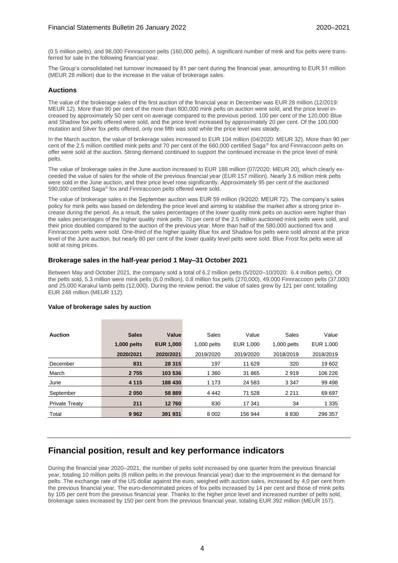(0.5 million pelts), and 98,000 Finnraccoon pelts (160,000 pelts). A significant number of mink and fox pelts were transferred for sale in the following financial year.

The Group's consolidated net turnover increased by 81 per cent during the financial year, amounting to EUR 51 million (MEUR 28 million) due to the increase in the value of brokerage sales.

#### **Auctions**

The value of the brokerage sales of the first auction of the financial year in December was EUR 28 million (12/2019: MEUR 12). More than 80 per cent of the more than 800,000 mink pelts on auction were sold, and the price level increased by approximately 50 per cent on average compared to the previous period. 100 per cent of the 120,000 Blue and Shadow fox pelts offered were sold, and the price level increased by approximately 20 per cent. Of the 100,000 mutation and Silver fox pelts offered, only one fifth was sold while the price level was steady.

In the March auction, the value of brokerage sales increased to EUR 104 million (04/2020: MEUR 32). More than 90 per cent of the 2.5 million certified mink pelts and 70 per cent of the 660,000 certified Saga® fox and Finnraccoon pelts on offer were sold at the auction. Strong demand continued to support the continued increase in the price level of mink pelts.

The value of brokerage sales in the June auction increased to EUR 188 million (07/2020: MEUR 20), which clearly exceeded the value of sales for the whole of the previous financial year (EUR 157 million). Nearly 3.6 million mink pelts were sold in the June auction, and their price level rose significantly. Approximately 95 per cent of the auctioned 590,000 certified Saga® fox and Finnraccoon pelts offered were sold.

The value of brokerage sales in the September auction was EUR 59 million (9/2020: MEUR 72). The company's sales policy for mink pelts was based on defending the price level and aiming to stabilise the market after a strong price increase during the period. As a result, the sales percentages of the lower quality mink pelts on auction were higher than the sales percentages of the higher quality mink pelts. 70 per cent of the 2.5 million auctioned mink pelts were sold, and their price doubled compared to the auction of the previous year. More than half of the 580,000 auctioned fox and Finnraccoon pelts were sold. One-third of the higher quality Blue fox and Shadow fox pelts were sold almost at the price level of the June auction, but nearly 80 per cent of the lower quality level pelts were sold. Blue Frost fox pelts were all sold at rising prices.

#### **Brokerage sales in the half-year period 1 May–31 October 2021**

Between May and October 2021, the company sold a total of 6.2 million pelts (5/2020–10/2020: 6.4 million pelts). Of the pelts sold, 5.3 million were mink pelts (6.0 million), 0.8 million fox pelts (270,000), 49,000 Finnraccoon pelts (37,000) and 25,000 Karakul lamb pelts (12,000). During the review period, the value of sales grew by 121 per cent, totalling EUR 248 million (MEUR 112).

| <b>Auction</b>        | <b>Sales</b> | Value            | Sales         | Value     | Sales       | Value     |
|-----------------------|--------------|------------------|---------------|-----------|-------------|-----------|
|                       | 1,000 pelts  | <b>EUR 1.000</b> | $1,000$ pelts | EUR 1.000 | 1,000 pelts | EUR 1.000 |
|                       | 2020/2021    | 2020/2021        | 2019/2020     | 2019/2020 | 2018/2019   | 2018/2019 |
| December              | 831          | 28 315           | 197           | 11 629    | 320         | 19 602    |
| March                 | 2 7 5 5      | 103 536          | 1 3 6 0       | 31 865    | 2919        | 106 226   |
| June                  | 4 1 1 5      | 188 430          | 1 1 7 3       | 24 583    | 3 3 4 7     | 99 498    |
| September             | 2 0 5 0      | 58 889           | 4 4 4 2       | 71 528    | 2 2 1 1     | 69 697    |
| <b>Private Treatv</b> | 211          | 12760            | 830           | 17 341    | 34          | 1 3 3 5   |
| Total                 | 9962         | 391 931          | 8 0 0 2       | 156 944   | 8 8 3 0     | 296 357   |

#### **Value of brokerage sales by auction**

## **Financial position, result and key performance indicators**

During the financial year 2020–2021, the number of pelts sold increased by one quarter from the previous financial year, totaling 10 million pelts (8 million pelts in the previous financial year) due to the improvement in the demand for pelts. The exchange rate of the US dollar against the euro, weighed with auction sales, increased by 4,0 per cent from the previous financial year. The euro-denominated prices of fox pelts increased by 14 per cent and those of mink pelts by 105 per cent from the previous financial year. Thanks to the higher price level and increased number of pelts sold, brokerage sales increased by 150 per cent from the previous financial year, totaling EUR 392 million (MEUR 157).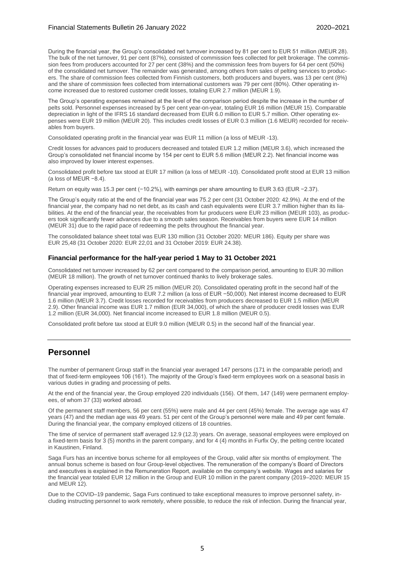During the financial year, the Group's consolidated net turnover increased by 81 per cent to EUR 51 million (MEUR 28). The bulk of the net turnover, 91 per cent (87%), consisted of commission fees collected for pelt brokerage. The commission fees from producers accounted for 27 per cent (38%) and the commission fees from buyers for 64 per cent (50%) of the consolidated net turnover. The remainder was generated, among others from sales of pelting services to producers. The share of commission fees collected from Finnish customers, both producers and buyers, was 13 per cent (8%) and the share of commission fees collected from international customers was 79 per cent (80%). Other operating income increased due to restored customer credit losses, totaling EUR 2.7 million (MEUR 1.9).

The Group's operating expenses remained at the level of the comparison period despite the increase in the number of pelts sold. Personnel expenses increased by 5 per cent year-on-year, totaling EUR 16 million (MEUR 15). Comparable depreciation in light of the IFRS 16 standard decreased from EUR 6.0 million to EUR 5.7 million. Other operating expenses were EUR 19 million (MEUR 20). This includes credit losses of EUR 0.3 million (1.6 MEUR) recorded for receivables from buyers.

Consolidated operating profit in the financial year was EUR 11 million (a loss of MEUR -13).

Credit losses for advances paid to producers decreased and totaled EUR 1.2 million (MEUR 3.6), which increased the Group's consolidated net financial income by 154 per cent to EUR 5.6 million (MEUR 2.2). Net financial income was also improved by lower interest expenses.

Consolidated profit before tax stood at EUR 17 million (a loss of MEUR -10). Consolidated profit stood at EUR 13 million (a loss of MEUR −8.4).

Return on equity was 15.3 per cent (−10.2%), with earnings per share amounting to EUR 3.63 (EUR −2.37).

The Group's equity ratio at the end of the financial year was 75.2 per cent (31 October 2020: 42.9%). At the end of the financial year, the company had no net debt, as its cash and cash equivalents were EUR 3.7 million higher than its liabilities. At the end of the financial year, the receivables from fur producers were EUR 23 million (MEUR 103), as producers took significantly fewer advances due to a smooth sales season. Receivables from buyers were EUR 14 million (MEUR 31) due to the rapid pace of redeeming the pelts throughout the financial year.

The consolidated balance sheet total was EUR 130 million (31 October 2020: MEUR 186). Equity per share was EUR 25,48 (31 October 2020: EUR 22,01 and 31 October 2019: EUR 24.38).

#### **Financial performance for the half-year period 1 May to 31 October 2021**

Consolidated net turnover increased by 62 per cent compared to the comparison period, amounting to EUR 30 million (MEUR 18 million). The growth of net turnover continued thanks to lively brokerage sales.

Operating expenses increased to EUR 25 million (MEUR 20). Consolidated operating profit in the second half of the financial year improved, amounting to EUR 7.2 million (a loss of EUR −50,000). Net interest income decreased to EUR 1.6 million (MEUR 3.7). Credit losses recorded for receivables from producers decreased to EUR 1.5 million (MEUR 2.9). Other financial income was EUR 1.7 million (EUR 34,000), of which the share of producer credit losses was EUR 1.2 million (EUR 34,000). Net financial income increased to EUR 1.8 million (MEUR 0.5).

Consolidated profit before tax stood at EUR 9.0 million (MEUR 0.5) in the second half of the financial year.

## **Personnel**

The number of permanent Group staff in the financial year averaged 147 persons (171 in the comparable period) and that of fixed-term employees 106 (161). The majority of the Group's fixed-term employees work on a seasonal basis in various duties in grading and processing of pelts.

At the end of the financial year, the Group employed 220 individuals (156). Of them, 147 (149) were permanent employees, of whom 37 (33) worked abroad.

Of the permanent staff members, 56 per cent (55%) were male and 44 per cent (45%) female. The average age was 47 years (47) and the median age was 49 years. 51 per cent of the Group's personnel were male and 49 per cent female. During the financial year, the company employed citizens of 18 countries.

The time of service of permanent staff averaged 12.9 (12.3) years. On average, seasonal employees were employed on a fixed-term basis for 3 (5) months in the parent company, and for 4 (4) months in Furfix Oy, the pelting centre located in Kaustinen, Finland.

Saga Furs has an incentive bonus scheme for all employees of the Group, valid after six months of employment. The annual bonus scheme is based on four Group-level objectives. The remuneration of the company's Board of Directors and executives is explained in the Remuneration Report, available on the company's website. Wages and salaries for the financial year totaled EUR 12 million in the Group and EUR 10 million in the parent company (2019–2020: MEUR 15 and MEUR 12).

Due to the COVID–19 pandemic, Saga Furs continued to take exceptional measures to improve personnel safety, including instructing personnel to work remotely, where possible, to reduce the risk of infection. During the financial year,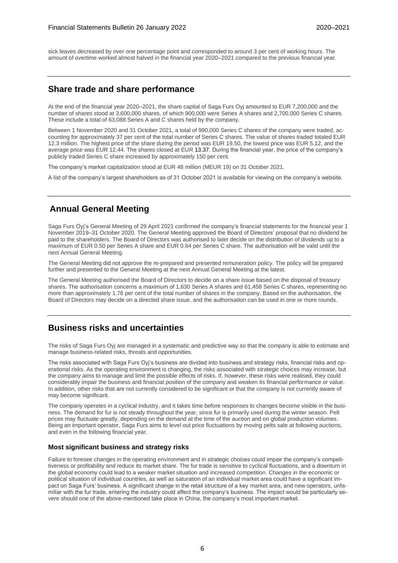sick leaves decreased by over one percentage point and corresponded to around 3 per cent of working hours. The amount of overtime worked almost halved in the financial year 2020–2021 compared to the previous financial year.

## **Share trade and share performance**

At the end of the financial year 2020–2021, the share capital of Saga Furs Oyj amounted to EUR 7,200,000 and the number of shares stood at 3,600,000 shares, of which 900,000 were Series A shares and 2,700,000 Series C shares. These include a total of 63,088 Series A and C shares held by the company.

Between 1 November 2020 and 31 October 2021, a total of 990,000 Series C shares of the company were traded, accounting for approximately 37 per cent of the total number of Series C shares. The value of shares traded totaled EUR 12.3 million. The highest price of the share during the period was EUR 19.50, the lowest price was EUR 5.12, and the average price was EUR 12.44. The shares closed at EUR 13.37. During the financial year, the price of the company's publicly traded Series C share increased by approximately 150 per cent.

The company's market capitalization stood at EUR 48 million (MEUR 19) on 31 October 2021.

A list of the company's largest shareholders as of 31 October 2021 is available for viewing on the company's website.

## **Annual General Meeting**

Saga Furs Oyj's General Meeting of 29 April 2021 confirmed the company's financial statements for the financial year 1 November 2019–31 October 2020. The General Meeting approved the Board of Directors' proposal that no dividend be paid to the shareholders. The Board of Directors was authorised to later decide on the distribution of dividends up to a maximum of EUR 0.50 per Series A share and EUR 0.64 per Series C share. The authorisation will be valid until the next Annual General Meeting.

The General Meeting did not approve the re-prepared and presented remuneration policy. The policy will be prepared further and presented to the General Meeting at the next Annual General Meeting at the latest.

The General Meeting authorised the Board of Directors to decide on a share issue based on the disposal of treasury shares. The authorisation concerns a maximum of 1,630 Series A shares and 61,458 Series C shares, representing no more than approximately 1.76 per cent of the total number of shares in the company. Based on the authorisation, the Board of Directors may decide on a directed share issue, and the authorisation can be used in one or more rounds.

## **Business risks and uncertainties**

The risks of Saga Furs Oyj are managed in a systematic and predictive way so that the company is able to estimate and manage business-related risks, threats and opportunities.

The risks associated with Saga Furs Oyj's business are divided into business and strategy risks, financial risks and operational risks. As the operating environment is changing, the risks associated with strategic choices may increase, but the company aims to manage and limit the possible effects of risks. If, however, these risks were realised, they could considerably impair the business and financial position of the company and weaken its financial performance or value. In addition, other risks that are not currently considered to be significant or that the company is not currently aware of may become significant.

The company operates in a cyclical industry, and it takes time before responses to changes become visible in the business. The demand for fur is not steady throughout the year, since fur is primarily used during the winter season. Pelt prices may fluctuate greatly, depending on the demand at the time of the auction and on global production volumes. Being an important operator, Saga Furs aims to level out price fluctuations by moving pelts sale at following auctions, and even in the following financial year.

#### **Most significant business and strategy risks**

Failure to foresee changes in the operating environment and in strategic choices could impair the company's competitiveness or profitability and reduce its market share. The fur trade is sensitive to cyclical fluctuations, and a downturn in the global economy could lead to a weaker market situation and increased competition. Changes in the economic or political situation of individual countries, as well as saturation of an individual market area could have a significant impact on Saga Furs' business. A significant change in the retail structure of a key market area, and new operators, unfamiliar with the fur trade, entering the industry could affect the company's business. The impact would be particularly severe should one of the above-mentioned take place in China, the company's most important market.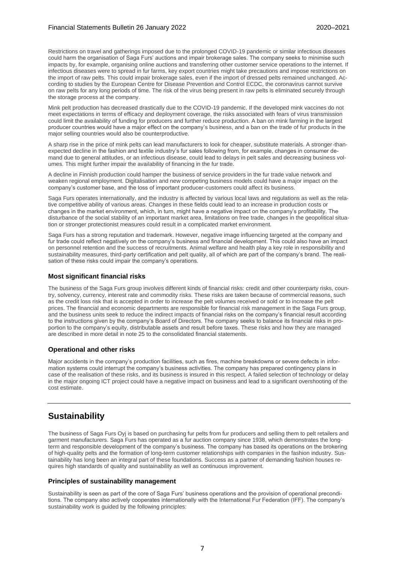Restrictions on travel and gatherings imposed due to the prolonged COVID-19 pandemic or similar infectious diseases could harm the organisation of Saga Furs' auctions and impair brokerage sales. The company seeks to minimise such impacts by, for example, organising online auctions and transferring other customer service operations to the internet. If infectious diseases were to spread in fur farms, key export countries might take precautions and impose restrictions on the import of raw pelts. This could impair brokerage sales, even if the import of dressed pelts remained unchanged. According to studies by the European Centre for Disease Prevention and Control ECDC, the coronavirus cannot survive on raw pelts for any long periods of time. The risk of the virus being present in raw pelts is eliminated securely through the storage process at the company.

Mink pelt production has decreased drastically due to the COVID-19 pandemic. If the developed mink vaccines do not meet expectations in terms of efficacy and deployment coverage, the risks associated with fears of virus transmission could limit the availability of funding for producers and further reduce production. A ban on mink farming in the largest producer countries would have a major effect on the company's business, and a ban on the trade of fur products in the major selling countries would also be counterproductive.

A sharp rise in the price of mink pelts can lead manufacturers to look for cheaper, substitute materials. A stronger-thanexpected decline in the fashion and textile industry's fur sales following from, for example, changes in consumer demand due to general attitudes, or an infectious disease, could lead to delays in pelt sales and decreasing business volumes. This might further impair the availability of financing in the fur trade.

A decline in Finnish production could hamper the business of service providers in the fur trade value network and weaken regional employment. Digitalisation and new competing business models could have a major impact on the company's customer base, and the loss of important producer-customers could affect its business.

Saga Furs operates internationally, and the industry is affected by various local laws and regulations as well as the relative competitive ability of various areas. Changes in these fields could lead to an increase in production costs or changes in the market environment, which, in turn, might have a negative impact on the company's profitability. The disturbance of the social stability of an important market area, limitations on free trade, changes in the geopolitical situation or stronger protectionist measures could result in a complicated market environment.

Saga Furs has a strong reputation and trademark. However, negative image influencing targeted at the company and fur trade could reflect negatively on the company's business and financial development. This could also have an impact on personnel retention and the success of recruitments. Animal welfare and health play a key role in responsibility and sustainability measures, third-party certification and pelt quality, all of which are part of the company's brand. The realisation of these risks could impair the company's operations.

#### **Most significant financial risks**

The business of the Saga Furs group involves different kinds of financial risks: credit and other counterparty risks, country, solvency, currency, interest rate and commodity risks. These risks are taken because of commercial reasons, such as the credit loss risk that is accepted in order to increase the pelt volumes received or sold or to increase the pelt prices. The financial and economic departments are responsible for financial risk management in the Saga Furs group, and the business units seek to reduce the indirect impacts of financial risks on the company's financial result according to the instructions given by the company's Board of Directors. The company seeks to balance its financial risks in proportion to the company's equity, distributable assets and result before taxes. These risks and how they are managed are described in more detail in note 25 to the consolidated financial statements.

#### **Operational and other risks**

Major accidents in the company's production facilities, such as fires, machine breakdowns or severe defects in information systems could interrupt the company's business activities. The company has prepared contingency plans in case of the realisation of these risks, and its business is insured in this respect. A failed selection of technology or delay in the major ongoing ICT project could have a negative impact on business and lead to a significant overshooting of the cost estimate.

## **Sustainability**

The business of Saga Furs Oyj is based on purchasing fur pelts from fur producers and selling them to pelt retailers and garment manufacturers. Saga Furs has operated as a fur auction company since 1938, which demonstrates the longterm and responsible development of the company's business. The company has based its operations on the brokering of high-quality pelts and the formation of long-term customer relationships with companies in the fashion industry. Sustainability has long been an integral part of these foundations. Success as a partner of demanding fashion houses requires high standards of quality and sustainability as well as continuous improvement.

#### **Principles of sustainability management**

Sustainability is seen as part of the core of Saga Furs' business operations and the provision of operational preconditions. The company also actively cooperates internationally with the International Fur Federation (IFF). The company's sustainability work is guided by the following principles: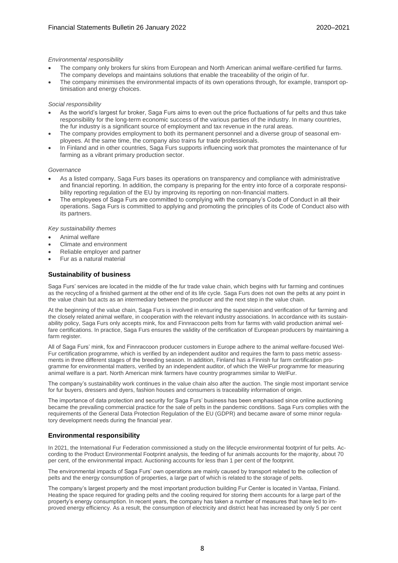#### *Environmental responsibility*

- The company only brokers fur skins from European and North American animal welfare-certified fur farms. The company develops and maintains solutions that enable the traceability of the origin of fur.
- The company minimises the environmental impacts of its own operations through, for example, transport optimisation and energy choices.

#### *Social responsibility*

- As the world's largest fur broker, Saga Furs aims to even out the price fluctuations of fur pelts and thus take responsibility for the long-term economic success of the various parties of the industry. In many countries, the fur industry is a significant source of employment and tax revenue in the rural areas.
- The company provides employment to both its permanent personnel and a diverse group of seasonal employees. At the same time, the company also trains fur trade professionals.
- In Finland and in other countries, Saga Furs supports influencing work that promotes the maintenance of fur farming as a vibrant primary production sector.

#### *Governance*

- As a listed company, Saga Furs bases its operations on transparency and compliance with administrative and financial reporting. In addition, the company is preparing for the entry into force of a corporate responsibility reporting regulation of the EU by improving its reporting on non-financial matters.
- The employees of Saga Furs are committed to complying with the company's Code of Conduct in all their operations. Saga Furs is committed to applying and promoting the principles of its Code of Conduct also with its partners.

#### *Key sustainability themes*

- Animal welfare
- Climate and environment
- Reliable employer and partner
- Fur as a natural material

#### **Sustainability of business**

Saga Furs' services are located in the middle of the fur trade value chain, which begins with fur farming and continues as the recycling of a finished garment at the other end of its life cycle. Saga Furs does not own the pelts at any point in the value chain but acts as an intermediary between the producer and the next step in the value chain.

At the beginning of the value chain, Saga Furs is involved in ensuring the supervision and verification of fur farming and the closely related animal welfare, in cooperation with the relevant industry associations. In accordance with its sustainability policy, Saga Furs only accepts mink, fox and Finnraccoon pelts from fur farms with valid production animal welfare certifications. In practice, Saga Furs ensures the validity of the certification of European producers by maintaining a farm register.

All of Saga Furs' mink, fox and Finnraccoon producer customers in Europe adhere to the animal welfare-focused Wel-Fur certification programme, which is verified by an independent auditor and requires the farm to pass metric assessments in three different stages of the breeding season. In addition, Finland has a Finnish fur farm certification programme for environmental matters, verified by an independent auditor, of which the WelFur programme for measuring animal welfare is a part. North American mink farmers have country programmes similar to WelFur.

The company's sustainability work continues in the value chain also after the auction. The single most important service for fur buyers, dressers and dyers, fashion houses and consumers is traceability information of origin.

The importance of data protection and security for Saga Furs' business has been emphasised since online auctioning became the prevailing commercial practice for the sale of pelts in the pandemic conditions. Saga Furs complies with the requirements of the General Data Protection Regulation of the EU (GDPR) and became aware of some minor regulatory development needs during the financial year.

#### **Environmental responsibility**

In 2021, the International Fur Federation commissioned a study on the lifecycle environmental footprint of fur pelts. According to the Product Environmental Footprint analysis, the feeding of fur animals accounts for the majority, about 70 per cent, of the environmental impact. Auctioning accounts for less than 1 per cent of the footprint.

The environmental impacts of Saga Furs' own operations are mainly caused by transport related to the collection of pelts and the energy consumption of properties, a large part of which is related to the storage of pelts.

The company's largest property and the most important production building Fur Center is located in Vantaa, Finland. Heating the space required for grading pelts and the cooling required for storing them accounts for a large part of the property's energy consumption. In recent years, the company has taken a number of measures that have led to improved energy efficiency. As a result, the consumption of electricity and district heat has increased by only 5 per cent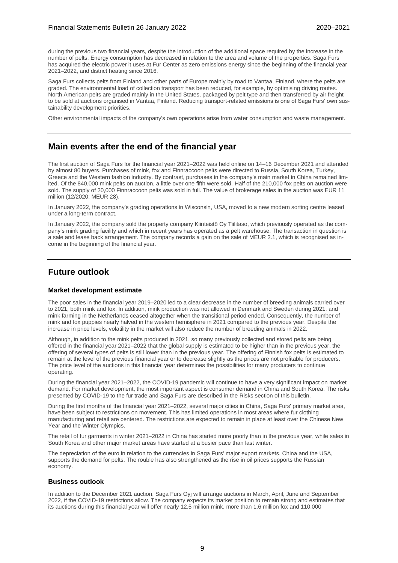during the previous two financial years, despite the introduction of the additional space required by the increase in the number of pelts. Energy consumption has decreased in relation to the area and volume of the properties. Saga Furs has acquired the electric power it uses at Fur Center as zero emissions energy since the beginning of the financial year 2021–2022, and district heating since 2016.

Saga Furs collects pelts from Finland and other parts of Europe mainly by road to Vantaa, Finland, where the pelts are graded. The environmental load of collection transport has been reduced, for example, by optimising driving routes. North American pelts are graded mainly in the United States, packaged by pelt type and then transferred by air freight to be sold at auctions organised in Vantaa, Finland. Reducing transport-related emissions is one of Saga Furs' own sustainability development priorities.

Other environmental impacts of the company's own operations arise from water consumption and waste management.

## **Main events after the end of the financial year**

The first auction of Saga Furs for the financial year 2021–2022 was held online on 14–16 December 2021 and attended by almost 80 buyers. Purchases of mink, fox and Finnraccoon pelts were directed to Russia, South Korea, Turkey, Greece and the Western fashion industry. By contrast, purchases in the company's main market in China remained limited. Of the 840,000 mink pelts on auction, a little over one fifth were sold. Half of the 210,000 fox pelts on auction were sold. The supply of 20,000 Finnraccoon pelts was sold in full. The value of brokerage sales in the auction was EUR 11 million (12/2020: MEUR 28).

In January 2022, the company's grading operations in Wisconsin, USA, moved to a new modern sorting centre leased under a long-term contract.

In January 2022, the company sold the property company Kiinteistö Oy Tiilitaso, which previously operated as the company's mink grading facility and which in recent years has operated as a pelt warehouse. The transaction in question is a sale and lease back arrangement. The company records a gain on the sale of MEUR 2.1, which is recognised as income in the beginning of the financial year.

## **Future outlook**

#### **Market development estimate**

The poor sales in the financial year 2019–2020 led to a clear decrease in the number of breeding animals carried over to 2021, both mink and fox. In addition, mink production was not allowed in Denmark and Sweden during 2021, and mink farming in the Netherlands ceased altogether when the transitional period ended. Consequently, the number of mink and fox puppies nearly halved in the western hemisphere in 2021 compared to the previous year. Despite the increase in price levels, volatility in the market will also reduce the number of breeding animals in 2022.

Although, in addition to the mink pelts produced in 2021, so many previously collected and stored pelts are being offered in the financial year 2021–2022 that the global supply is estimated to be higher than in the previous year, the offering of several types of pelts is still lower than in the previous year. The offering of Finnish fox pelts is estimated to remain at the level of the previous financial year or to decrease slightly as the prices are not profitable for producers. The price level of the auctions in this financial year determines the possibilities for many producers to continue operating.

During the financial year 2021–2022, the COVID-19 pandemic will continue to have a very significant impact on market demand. For market development, the most important aspect is consumer demand in China and South Korea. The risks presented by COVID-19 to the fur trade and Saga Furs are described in the Risks section of this bulletin.

During the first months of the financial year 2021–2022, several major cities in China, Saga Furs' primary market area, have been subject to restrictions on movement. This has limited operations in most areas where fur clothing manufacturing and retail are centered. The restrictions are expected to remain in place at least over the Chinese New Year and the Winter Olympics.

The retail of fur garments in winter 2021–2022 in China has started more poorly than in the previous year, while sales in South Korea and other major market areas have started at a busier pace than last winter.

The depreciation of the euro in relation to the currencies in Saga Furs' major export markets, China and the USA, supports the demand for pelts. The rouble has also strengthened as the rise in oil prices supports the Russian economy.

#### **Business outlook**

In addition to the December 2021 auction, Saga Furs Oyj will arrange auctions in March, April, June and September 2022, if the COVID-19 restrictions allow. The company expects its market position to remain strong and estimates that its auctions during this financial year will offer nearly 12.5 million mink, more than 1.6 million fox and 110,000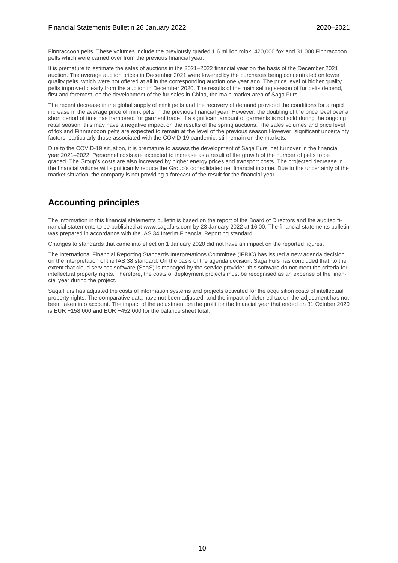Finnraccoon pelts. These volumes include the previously graded 1.6 million mink, 420,000 fox and 31,000 Finnraccoon pelts which were carried over from the previous financial year.

It is premature to estimate the sales of auctions in the 2021–2022 financial year on the basis of the December 2021 auction. The average auction prices in December 2021 were lowered by the purchases being concentrated on lower quality pelts, which were not offered at all in the corresponding auction one year ago. The price level of higher quality pelts improved clearly from the auction in December 2020. The results of the main selling season of fur pelts depend, first and foremost, on the development of the fur sales in China, the main market area of Saga Furs.

The recent decrease in the global supply of mink pelts and the recovery of demand provided the conditions for a rapid increase in the average price of mink pelts in the previous financial year. However, the doubling of the price level over a short period of time has hampered fur garment trade. If a significant amount of garments is not sold during the ongoing retail season, this may have a negative impact on the results of the spring auctions. The sales volumes and price level of fox and Finnraccoon pelts are expected to remain at the level of the previous season.However, significant uncertainty factors, particularly those associated with the COVID-19 pandemic, still remain on the markets.

Due to the COVID-19 situation, it is premature to assess the development of Saga Furs' net turnover in the financial year 2021–2022. Personnel costs are expected to increase as a result of the growth of the number of pelts to be graded. The Group's costs are also increased by higher energy prices and transport costs. The projected decrease in the financial volume will significantly reduce the Group's consolidated net financial income. Due to the uncertainty of the market situation, the company is not providing a forecast of the result for the financial year.

## **Accounting principles**

The information in this financial statements bulletin is based on the report of the Board of Directors and the audited financial statements to be published at www.sagafurs.com by 28 January 2022 at 16:00. The financial statements bulletin was prepared in accordance with the IAS 34 Interim Financial Reporting standard.

Changes to standards that came into effect on 1 January 2020 did not have an impact on the reported figures.

The International Financial Reporting Standards Interpretations Committee (IFRIC) has issued a new agenda decision on the interpretation of the IAS 38 standard. On the basis of the agenda decision, Saga Furs has concluded that, to the extent that cloud services software (SaaS) is managed by the service provider, this software do not meet the criteria for intellectual property rights. Therefore, the costs of deployment projects must be recognised as an expense of the financial year during the project.

Saga Furs has adjusted the costs of information systems and projects activated for the acquisition costs of intellectual property rights. The comparative data have not been adjusted, and the impact of deferred tax on the adjustment has not been taken into account. The impact of the adjustment on the profit for the financial year that ended on 31 October 2020 is EUR −158,000 and EUR −452,000 for the balance sheet total.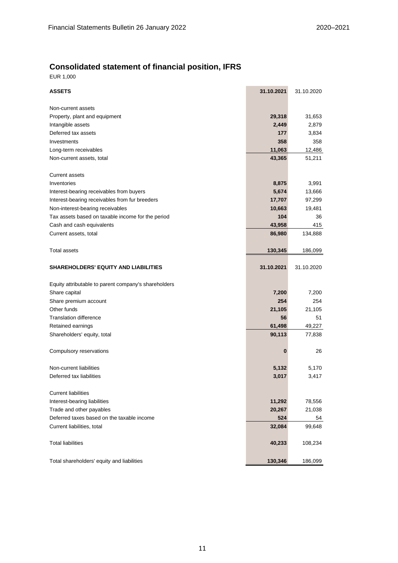## **Consolidated statement of financial position, IFRS**

EUR 1,000

| <b>ASSETS</b>                                        | 31.10.2021 | 31.10.2020 |
|------------------------------------------------------|------------|------------|
| Non-current assets                                   |            |            |
| Property, plant and equipment                        | 29,318     | 31,653     |
| Intangible assets                                    | 2,449      | 2,879      |
| Deferred tax assets                                  | 177        | 3,834      |
| Investments                                          | 358        | 358        |
| Long-term receivables                                | 11,063     | 12,486     |
| Non-current assets, total                            | 43,365     | 51,211     |
| <b>Current assets</b>                                |            |            |
| Inventories                                          | 8,875      | 3,991      |
| Interest-bearing receivables from buyers             | 5,674      | 13,666     |
| Interest-bearing receivables from fur breeders       | 17,707     | 97,299     |
| Non-interest-bearing receivables                     | 10,663     | 19,481     |
| Tax assets based on taxable income for the period    | 104        | 36         |
| Cash and cash equivalents                            | 43,958     | 415        |
| Current assets, total                                | 86,980     | 134,888    |
| <b>Total assets</b>                                  | 130,345    | 186,099    |
| <b>SHAREHOLDERS' EQUITY AND LIABILITIES</b>          | 31.10.2021 | 31.10.2020 |
| Equity attributable to parent company's shareholders |            |            |
| Share capital                                        | 7,200      | 7,200      |
| Share premium account                                | 254        | 254        |
| Other funds                                          | 21,105     | 21,105     |
| <b>Translation difference</b>                        | 56         | 51         |
| Retained earnings                                    | 61,498     | 49,227     |
| Shareholders' equity, total                          | 90,113     | 77,838     |
| Compulsory reservations                              | 0          | 26         |
| Non-current liabilities                              | 5,132      | 5,170      |
| Deferred tax liabilities                             | 3,017      | 3,417      |
| <b>Current liabilities</b>                           |            |            |
| Interest-bearing liabilities                         | 11,292     | 78,556     |
| Trade and other payables                             | 20,267     | 21,038     |
| Deferred taxes based on the taxable income           | 524        | 54         |
| Current liabilities, total                           | 32,084     | 99,648     |
| <b>Total liabilities</b>                             | 40,233     | 108,234    |
| Total shareholders' equity and liabilities           | 130,346    | 186,099    |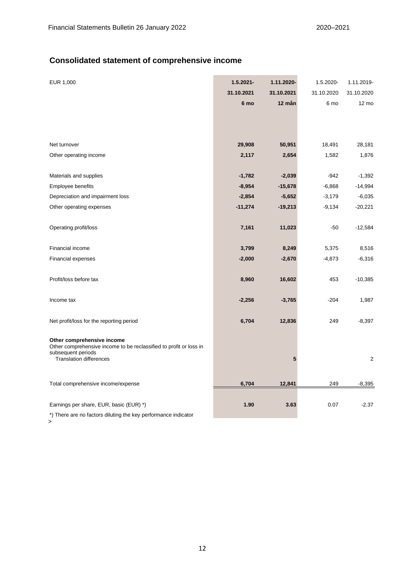## **Consolidated statement of comprehensive income**

| EUR 1,000                                                                                        | $1.5.2021 -$ | 1.11.2020- | 1.5.2020-  | 1.11.2019-     |
|--------------------------------------------------------------------------------------------------|--------------|------------|------------|----------------|
|                                                                                                  | 31.10.2021   | 31.10.2021 | 31.10.2020 | 31.10.2020     |
|                                                                                                  | 6 mo         | 12 mån     | 6 mo       | 12 mo          |
|                                                                                                  |              |            |            |                |
|                                                                                                  |              |            |            |                |
|                                                                                                  |              |            |            |                |
| Net turnover                                                                                     | 29,908       | 50,951     | 18,491     | 28,181         |
| Other operating income                                                                           | 2,117        | 2,654      | 1,582      | 1,876          |
|                                                                                                  |              |            |            |                |
| Materials and supplies                                                                           | $-1,782$     | $-2,039$   | $-942$     | $-1,392$       |
| Employee benefits                                                                                | $-8,954$     | $-15,678$  | $-6,868$   | $-14,994$      |
| Depreciation and impairment loss                                                                 | $-2,854$     | $-5,652$   | $-3,179$   | $-6,035$       |
| Other operating expenses                                                                         | $-11,274$    | $-19,213$  | $-9,134$   | $-20,221$      |
|                                                                                                  |              |            |            |                |
| Operating profit/loss                                                                            | 7,161        | 11,023     | $-50$      | $-12,584$      |
|                                                                                                  |              |            |            |                |
| Financial income                                                                                 | 3,799        | 8,249      | 5,375      | 8,516          |
| Financial expenses                                                                               | $-2,000$     | $-2,670$   | $-4,873$   | $-6,316$       |
|                                                                                                  |              |            |            |                |
| Profit/loss before tax                                                                           | 8,960        | 16,602     | 453        | $-10,385$      |
|                                                                                                  |              |            |            |                |
| Income tax                                                                                       | $-2,256$     | $-3,765$   | $-204$     | 1,987          |
|                                                                                                  |              |            |            |                |
| Net profit/loss for the reporting period                                                         | 6,704        | 12,836     | 249        | $-8,397$       |
|                                                                                                  |              |            |            |                |
| Other comprehensive income<br>Other comprehensive income to be reclassified to profit or loss in |              |            |            |                |
| subsequent periods                                                                               |              |            |            |                |
| <b>Translation differences</b>                                                                   |              | 5          |            | $\overline{2}$ |
|                                                                                                  |              |            |            |                |
| Total comprehensive income/expense                                                               | 6,704        | 12,841     | 249        | $-8,395$       |
|                                                                                                  |              |            |            |                |
| Earnings per share, EUR, basic (EUR) *)                                                          | 1.90         | 3.63       | 0.07       | $-2.37$        |
| *) There are no factors diluting the key performance indicator                                   |              |            |            |                |

>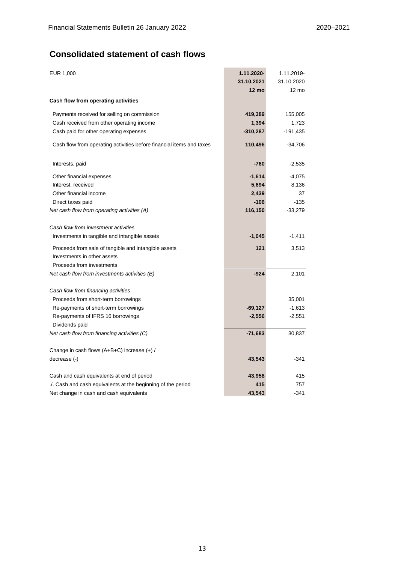## **Consolidated statement of cash flows**

| EUR 1,000                                                            | 1.11.2020-      | 1.11.2019-      |
|----------------------------------------------------------------------|-----------------|-----------------|
|                                                                      | 31.10.2021      | 31.10.2020      |
|                                                                      | $12 \text{ mo}$ | $12 \text{ mo}$ |
| Cash flow from operating activities                                  |                 |                 |
| Payments received for selling on commission                          | 419,389         | 155,005         |
| Cash received from other operating income                            | 1,394           | 1,723           |
| Cash paid for other operating expenses                               | $-310,287$      | $-191,435$      |
| Cash flow from operating activities before financial items and taxes | 110,496         | $-34,706$       |
| Interests, paid                                                      | -760            | $-2,535$        |
| Other financial expenses                                             | $-1,614$        | $-4,075$        |
| Interest, received                                                   | 5,694           | 8,136           |
| Other financial income                                               | 2,439           | 37              |
| Direct taxes paid                                                    | $-106$          | -135            |
| Net cash flow from operating activities (A)                          | 116,150         | $-33,279$       |
| Cash flow from investment activities                                 |                 |                 |
| Investments in tangible and intangible assets                        | $-1,045$        | $-1,411$        |
| Proceeds from sale of tangible and intangible assets                 | 121             | 3,513           |
| Investments in other assets                                          |                 |                 |
| Proceeds from investments                                            |                 |                 |
| Net cash flow from investments activities (B)                        | $-924$          | 2,101           |
| Cash flow from financing activities                                  |                 |                 |
| Proceeds from short-term borrowings                                  |                 | 35,001          |
| Re-payments of short-term borrowings                                 | $-69,127$       | $-1,613$        |
| Re-payments of IFRS 16 borrowings                                    | $-2,556$        | $-2,551$        |
| Dividends paid                                                       |                 |                 |
| Net cash flow from financing activities (C)                          | $-71,683$       | 30,837          |
| Change in cash flows $(A+B+C)$ increase $(+)$ /                      |                 |                 |
| decrease (-)                                                         | 43,543          | $-341$          |
| Cash and cash equivalents at end of period                           | 43,958          | 415             |
| Cash and cash equivalents at the beginning of the period             | 415             | 757             |
| Net change in cash and cash equivalents                              | 43,543          | $-341$          |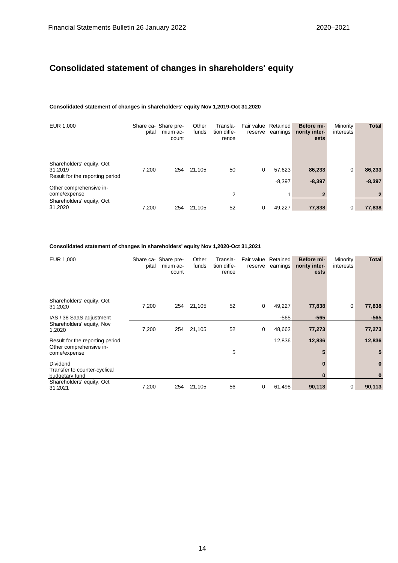## **Consolidated statement of changes in shareholders' equity**

#### **Consolidated statement of changes in shareholders' equity Nov 1,2019-Oct 31,2020**

| EUR 1,000                                                               | pital | Share ca-Share pre-<br>mium ac-<br>count | Other<br>funds | Transla-<br>tion diffe-<br>rence | Fair value Retained<br>reserve | earnings | Before mi-<br>nority inter-<br>ests | Minority<br>interests | <b>Total</b> |
|-------------------------------------------------------------------------|-------|------------------------------------------|----------------|----------------------------------|--------------------------------|----------|-------------------------------------|-----------------------|--------------|
| Shareholders' equity, Oct<br>31.2019<br>Result for the reporting period | 7.200 | 254                                      | 21,105         | 50                               | 0                              | 57,623   | 86,233                              | 0                     | 86,233       |
| Other comprehensive in-<br>come/expense                                 |       |                                          |                | 2                                |                                | $-8,397$ | $-8,397$                            |                       | $-8,397$     |
| Shareholders' equity, Oct<br>31,2020                                    | 7.200 | 254                                      | 21.105         | 52                               | 0                              | 49.227   | 77,838                              | 0                     | 77,838       |

#### **Consolidated statement of changes in shareholders' equity Nov 1,2020-Oct 31,2021**

| EUR 1,000                                | pital | Share ca-Share pre-<br>mium ac-<br>count | Other<br>funds | Transla-<br>tion diffe-<br>rence | Fair value<br>reserve | Retained<br>earnings | Before mi-<br>nority inter-<br>ests | Minority<br>interests | Total    |
|------------------------------------------|-------|------------------------------------------|----------------|----------------------------------|-----------------------|----------------------|-------------------------------------|-----------------------|----------|
| Shareholders' equity, Oct<br>31,2020     | 7,200 | 254                                      | 21,105         | 52                               | 0                     | 49,227               | 77,838                              | 0                     | 77,838   |
| IAS / 38 SaaS adjustment                 |       |                                          |                |                                  |                       | -565                 | $-565$                              |                       | $-565$   |
| Shareholders' equity, Nov<br>1,2020      | 7,200 | 254                                      | 21,105         | 52                               | 0                     | 48,662               | 77,273                              |                       | 77,273   |
| Result for the reporting period          |       |                                          |                |                                  |                       | 12,836               | 12,836                              |                       | 12,836   |
| Other comprehensive in-<br>come/expense  |       |                                          |                | 5                                |                       |                      |                                     |                       | 5        |
| Dividend<br>Transfer to counter-cyclical |       |                                          |                |                                  |                       |                      |                                     |                       | $\bf{0}$ |
| budgetary fund                           |       |                                          |                |                                  |                       |                      |                                     |                       | $\bf{0}$ |
| Shareholders' equity, Oct<br>31,2021     | 7,200 | 254                                      | 21,105         | 56                               | 0                     | 61,498               | 90,113                              | 0                     | 90,113   |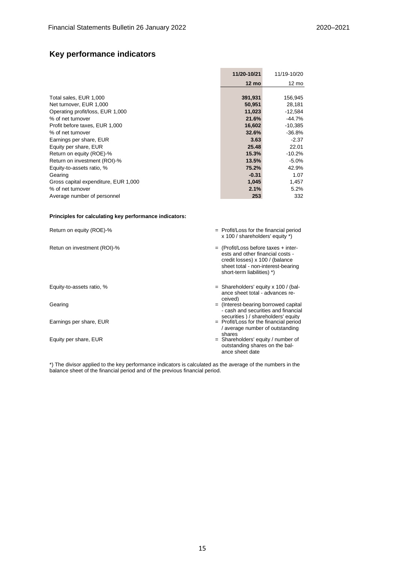## **Key performance indicators**

|                                      | 11/20-10/21 | 11/19-10/20 |
|--------------------------------------|-------------|-------------|
|                                      | 12 mo       | 12 mo       |
|                                      |             |             |
| Total sales, EUR 1,000               | 391,931     | 156,945     |
| Net turnover, EUR 1,000              | 50,951      | 28,181      |
| Operating profit/loss, EUR 1,000     | 11,023      | $-12,584$   |
| % of net turnover                    | 21.6%       | $-44.7%$    |
| Profit before taxes, EUR 1,000       | 16,602      | $-10,385$   |
| % of net turnover                    | 32.6%       | $-36.8%$    |
| Earnings per share, EUR              | 3.63        | $-2.37$     |
| Equity per share, EUR                | 25.48       | 22.01       |
| Return on equity (ROE)-%             | 15.3%       | $-10.2%$    |
| Return on investment (ROI)-%         | 13.5%       | $-5.0%$     |
| Equity-to-assets ratio, %            | 75.2%       | 42.9%       |
| Gearing                              | $-0.31$     | 1.07        |
| Gross capital expenditure, EUR 1,000 | 1,045       | 1,457       |
| % of net turnover                    | 2.1%        | 5.2%        |
| Average number of personnel          | 253         | 332         |

#### **Principles for calculating key performance indicators:**

| Return on equity (ROE)-%    | $=$ Profit/Loss for the financial period<br>x 100 / shareholders' equity *)                                                                                                       |
|-----------------------------|-----------------------------------------------------------------------------------------------------------------------------------------------------------------------------------|
| Retun on investment (ROI)-% | $=$ (Profit/Loss before taxes + inter-<br>ests and other financial costs -<br>credit losses) x 100 / (balance<br>sheet total - non-interest-bearing<br>short-term liabilities) *) |
| Equity-to-assets ratio, %   | $=$ Shareholders' equity x 100 / (bal-<br>ance sheet total - advances re-<br>ceived)                                                                                              |
| Gearing                     | $=$ (Interest-bearing borrowed capital<br>- cash and securities and financial<br>securities ) / shareholders' equity                                                              |
| Earnings per share, EUR     | = Profit/Loss for the financial period<br>/ average number of outstanding<br>shares                                                                                               |
| Equity per share, EUR       | $=$ Shareholders' equity / number of<br>outstanding shares on the bal-<br>ance sheet date                                                                                         |

\*) The divisor applied to the key performance indicators is calculated as the average of the numbers in the balance sheet of the financial period and of the previous financial period.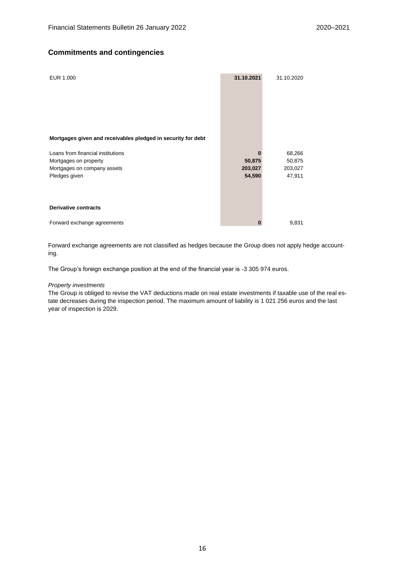### **Commitments and contingencies**

| EUR 1.000                                                                                         | 31.10.2021        | 31.10.2020        |
|---------------------------------------------------------------------------------------------------|-------------------|-------------------|
| Mortgages given and receivables pledged in security for debt<br>Loans from financial institutions | 0                 |                   |
|                                                                                                   |                   | 68,266            |
| Mortgages on property                                                                             | 50,875            | 50,875            |
| Mortgages on company assets<br>Pledges given                                                      | 203,027<br>54,590 | 203,027<br>47,911 |
| <b>Derivative contracts</b>                                                                       |                   |                   |
| Forward exchange agreements                                                                       | 0                 | 9,831             |

Forward exchange agreements are not classified as hedges because the Group does not apply hedge accounting.

The Group's foreign exchange position at the end of the financial year is -3 305 974 euros.

#### *Property investments*

The Group is obliged to revise the VAT deductions made on real estate investments if taxable use of the real estate decreases during the inspection period. The maximum amount of liability is 1 021 256 euros and the last year of inspection is 2029.